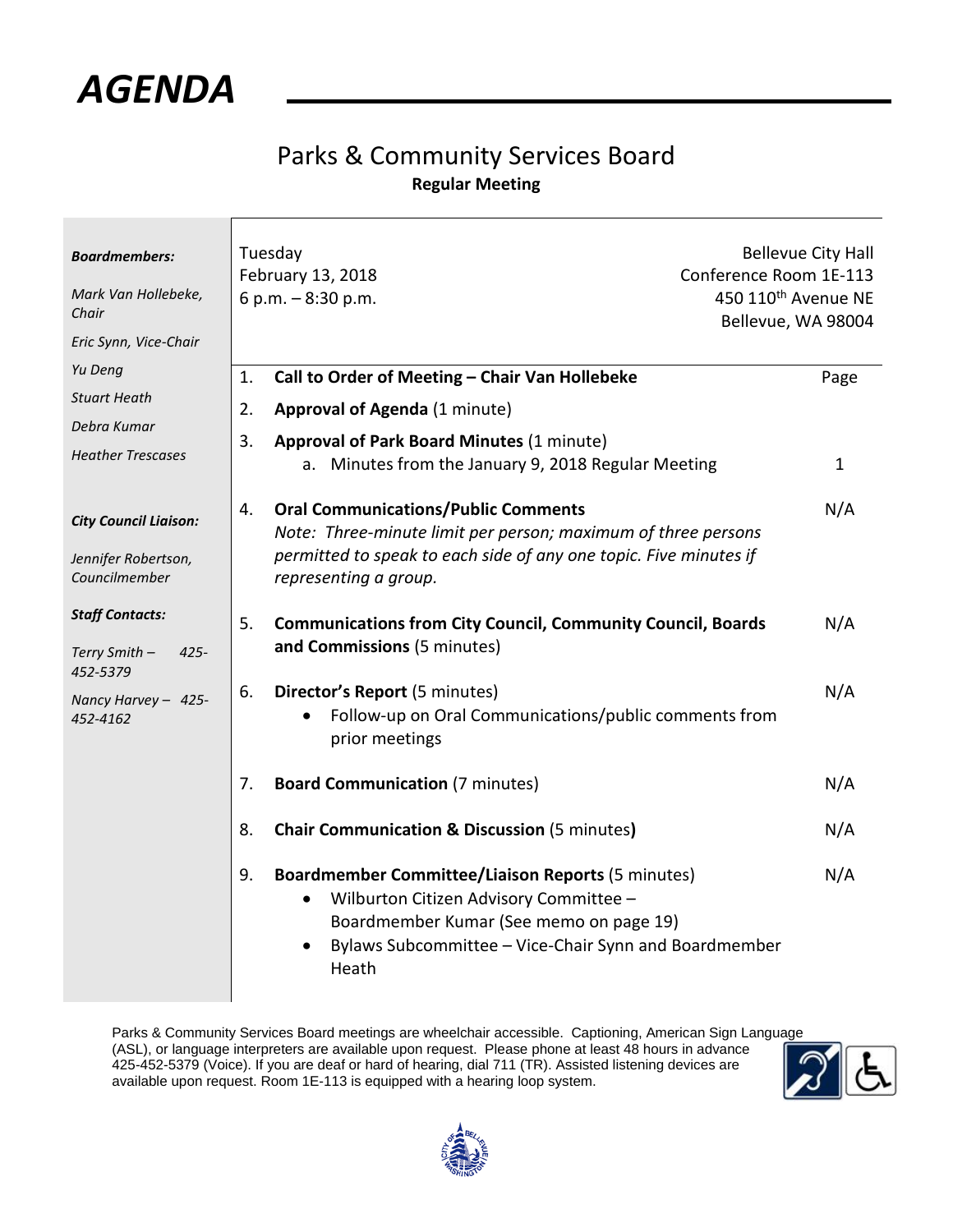

## Parks & Community Services Board **Regular Meeting**

| <b>Boardmembers:</b><br>Mark Van Hollebeke,<br>Chair<br>Eric Synn, Vice-Chair | Tuesday<br>February 13, 2018<br>6 p.m. - 8:30 p.m.                                                                                                                                                                                      | <b>Bellevue City Hall</b><br>Conference Room 1E-113<br>450 110 <sup>th</sup> Avenue NE<br>Bellevue, WA 98004 |  |
|-------------------------------------------------------------------------------|-----------------------------------------------------------------------------------------------------------------------------------------------------------------------------------------------------------------------------------------|--------------------------------------------------------------------------------------------------------------|--|
| Yu Deng<br><b>Stuart Heath</b><br>Debra Kumar<br><b>Heather Trescases</b>     | Call to Order of Meeting - Chair Van Hollebeke<br>1.<br>2.<br><b>Approval of Agenda (1 minute)</b><br>3.<br><b>Approval of Park Board Minutes (1 minute)</b><br>a. Minutes from the January 9, 2018 Regular Meeting                     | Page<br>$\mathbf{1}$                                                                                         |  |
| <b>City Council Liaison:</b><br>Jennifer Robertson,<br>Councilmember          | <b>Oral Communications/Public Comments</b><br>4.<br>Note: Three-minute limit per person; maximum of three persons<br>permitted to speak to each side of any one topic. Five minutes if<br>representing a group.                         | N/A                                                                                                          |  |
| <b>Staff Contacts:</b><br>Terry Smith -<br>$425 -$                            | <b>Communications from City Council, Community Council, Boards</b><br>5.<br>and Commissions (5 minutes)                                                                                                                                 | N/A                                                                                                          |  |
| 452-5379<br>Nancy Harvey - 425-<br>452-4162                                   | 6.<br>Director's Report (5 minutes)<br>Follow-up on Oral Communications/public comments from<br>prior meetings                                                                                                                          | N/A                                                                                                          |  |
|                                                                               | <b>Board Communication (7 minutes)</b><br>7.                                                                                                                                                                                            | N/A                                                                                                          |  |
|                                                                               | <b>Chair Communication &amp; Discussion (5 minutes)</b><br>8.                                                                                                                                                                           | N/A                                                                                                          |  |
|                                                                               | 9.<br><b>Boardmember Committee/Liaison Reports (5 minutes)</b><br>Wilburton Citizen Advisory Committee -<br>٠<br>Boardmember Kumar (See memo on page 19)<br>Bylaws Subcommittee - Vice-Chair Synn and Boardmember<br>$\bullet$<br>Heath | N/A                                                                                                          |  |

Parks & Community Services Board meetings are wheelchair accessible. Captioning, American Sign Language (ASL), or language interpreters are available upon request. Please phone at least 48 hours in advance 425-452-5379 (Voice). If you are deaf or hard of hearing, dial 711 (TR). Assisted listening devices are available upon request. Room 1E-113 is equipped with a hearing loop system.